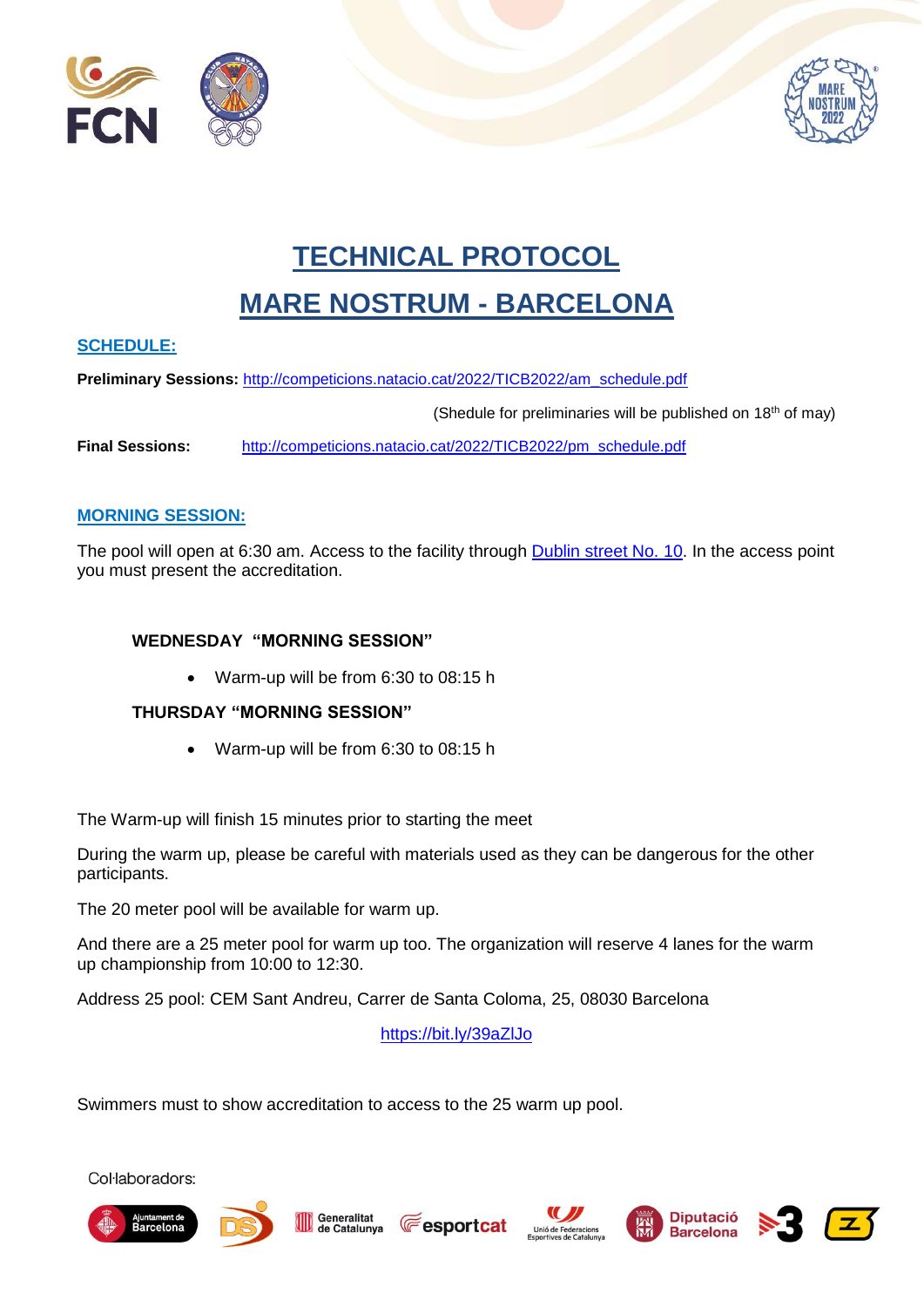



# **TECHNICAL PROTOCOL**

## **MARE NOSTRUM - BARCELONA**

#### **SCHEDULE:**

**Preliminary Sessions:** [http://competicions.natacio.cat/2022/TICB2022/am\\_schedule.pdf](http://competicions.natacio.cat/2022/TICB2022/am_schedule.pdf)

(Shedule for preliminaries will be published on 18th of may)

**Final Sessions:** [http://competicions.natacio.cat/2022/TICB2022/pm\\_schedule.pdf](http://competicions.natacio.cat/2022/TICB2022/pm_schedule.pdf)

#### **MORNING SESSION:**

The pool will open at 6:30 am. Access to the facility through [Dublin street No. 10.](https://bit.ly/3c9uGeb) In the access point you must present the accreditation.

#### **WEDNESDAY "MORNING SESSION"**

Warm-up will be from 6:30 to 08:15 h

#### **THURSDAY "MORNING SESSION"**

Warm-up will be from 6:30 to 08:15 h

The Warm-up will finish 15 minutes prior to starting the meet

During the warm up, please be careful with materials used as they can be dangerous for the other participants.

The 20 meter pool will be available for warm up.

And there are a 25 meter pool for warm up too. The organization will reserve 4 lanes for the warm up championship from 10:00 to 12:30.

Address 25 pool: CEM Sant Andreu, Carrer de Santa Coloma, 25, 08030 Barcelona

<https://bit.ly/39aZlJo>

**Fesportcat** 

Swimmers must to show accreditation to access to the 25 warm up pool.













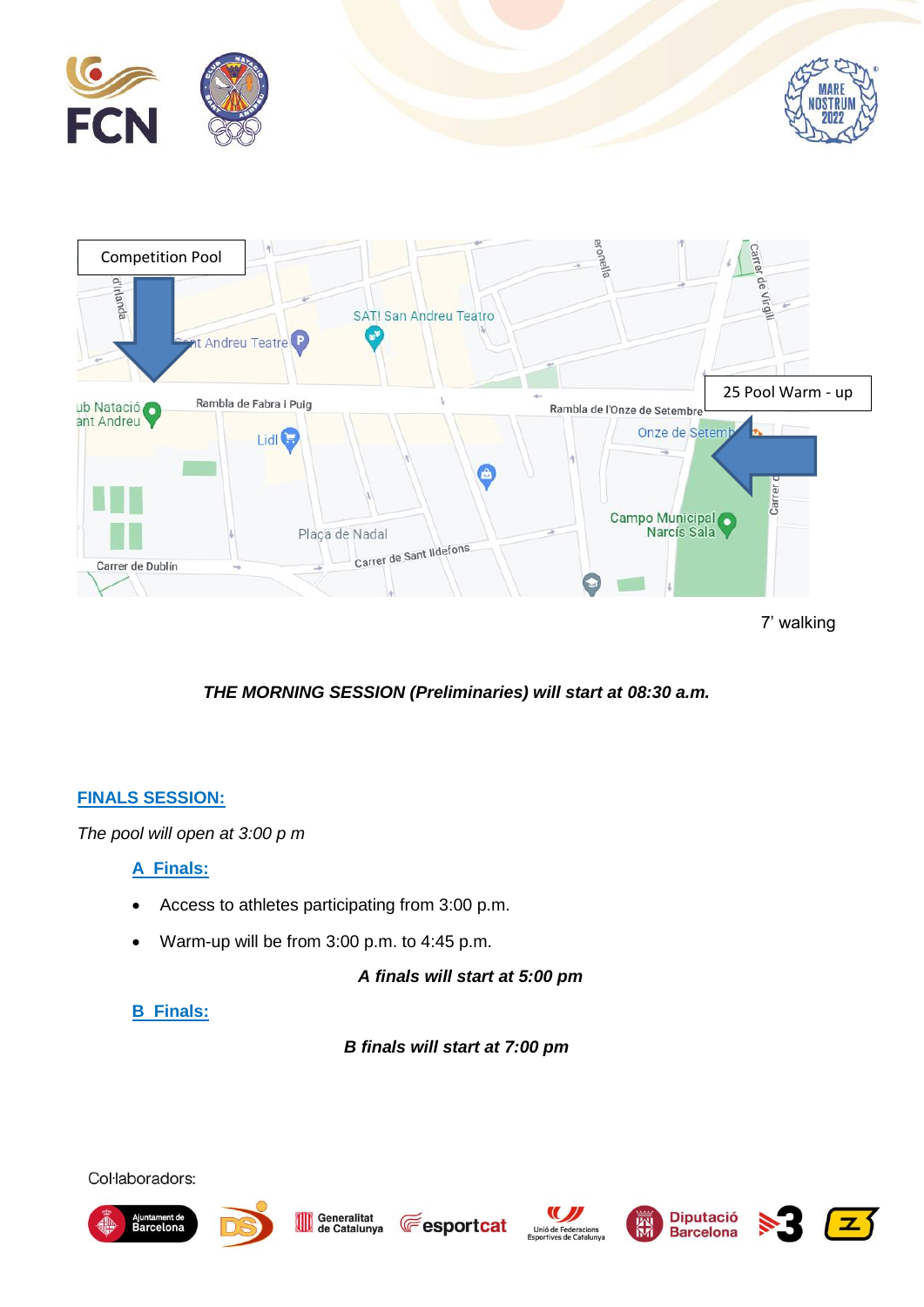

*THE MORNING SESSION (Preliminaries) will start at 08:30 a.m.*

#### **FINALS SESSION:**

*The pool will open at 3:00 p m*

#### **A Finals:**

- Access to athletes participating from 3:00 p.m.
- Warm-up will be from 3:00 p.m. to 4:45 p.m.

*A finals will start at 5:00 pm*

## **B Finals:**

*B finals will start at 7:00 pm*

















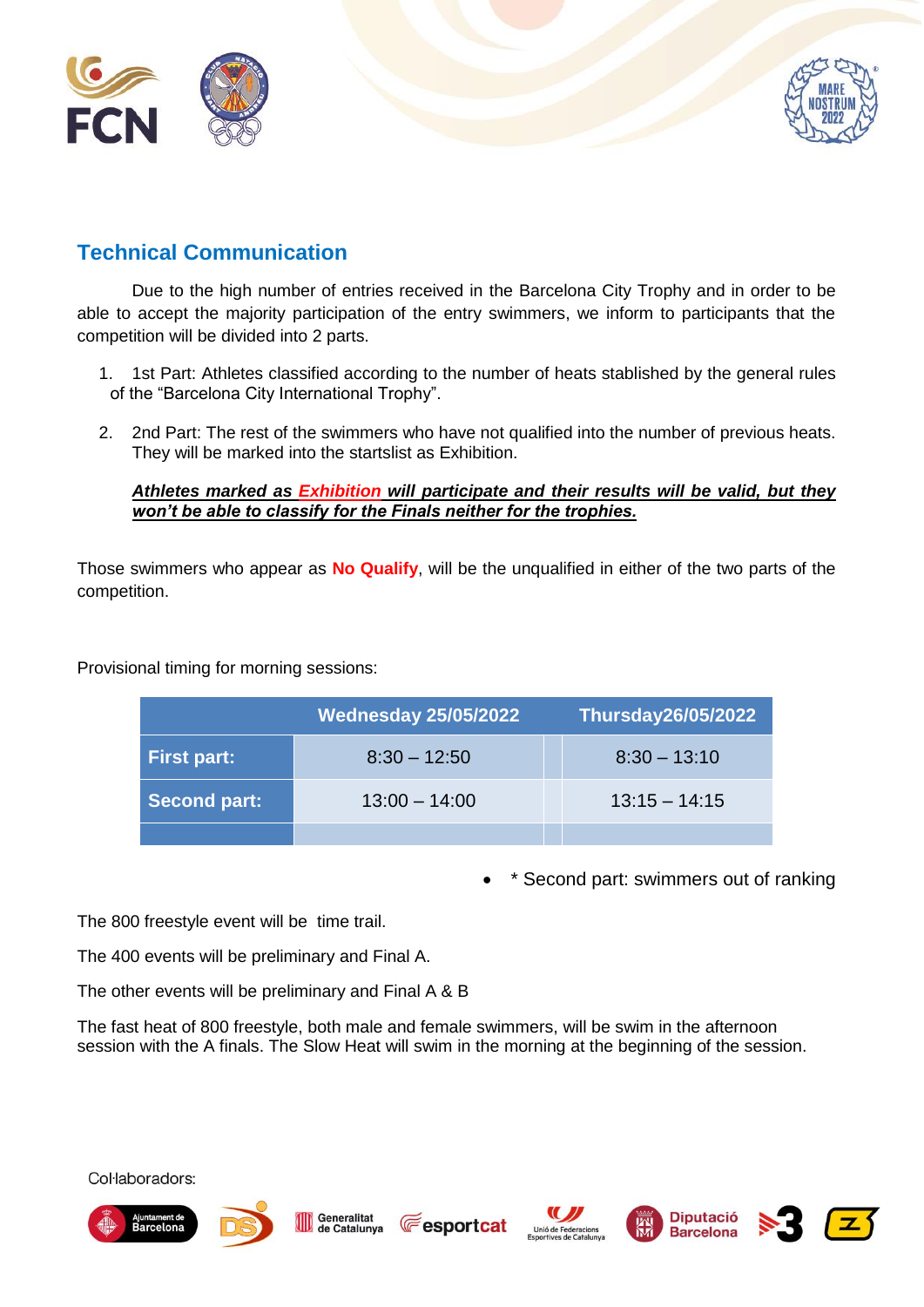



## **Technical Communication**

Due to the high number of entries received in the Barcelona City Trophy and in order to be able to accept the majority participation of the entry swimmers, we inform to participants that the competition will be divided into 2 parts.

- 1. 1st Part: Athletes classified according to the number of heats stablished by the general rules of the "Barcelona City International Trophy".
- 2. 2nd Part: The rest of the swimmers who have not qualified into the number of previous heats. They will be marked into the startslist as Exhibition.

#### *Athletes marked as Exhibition will participate and their results will be valid, but they won't be able to classify for the Finals neither for the trophies.*

Those swimmers who appear as **No Qualify**, will be the unqualified in either of the two parts of the competition.

Provisional timing for morning sessions:

|                     | <b>Wednesday 25/05/2022</b> | <b>Thursday26/05/2022</b> |
|---------------------|-----------------------------|---------------------------|
| <b>First part:</b>  | $8:30 - 12:50$              | $8:30 - 13:10$            |
| <b>Second part:</b> | $13:00 - 14:00$             | $13:15 - 14:15$           |
|                     |                             |                           |

\* Second part: swimmers out of ranking

The 800 freestyle event will be time trail.

The 400 events will be preliminary and Final A.

The other events will be preliminary and Final A & B

The fast heat of 800 freestyle, both male and female swimmers, will be swim in the afternoon session with the A finals. The Slow Heat will swim in the morning at the beginning of the session.













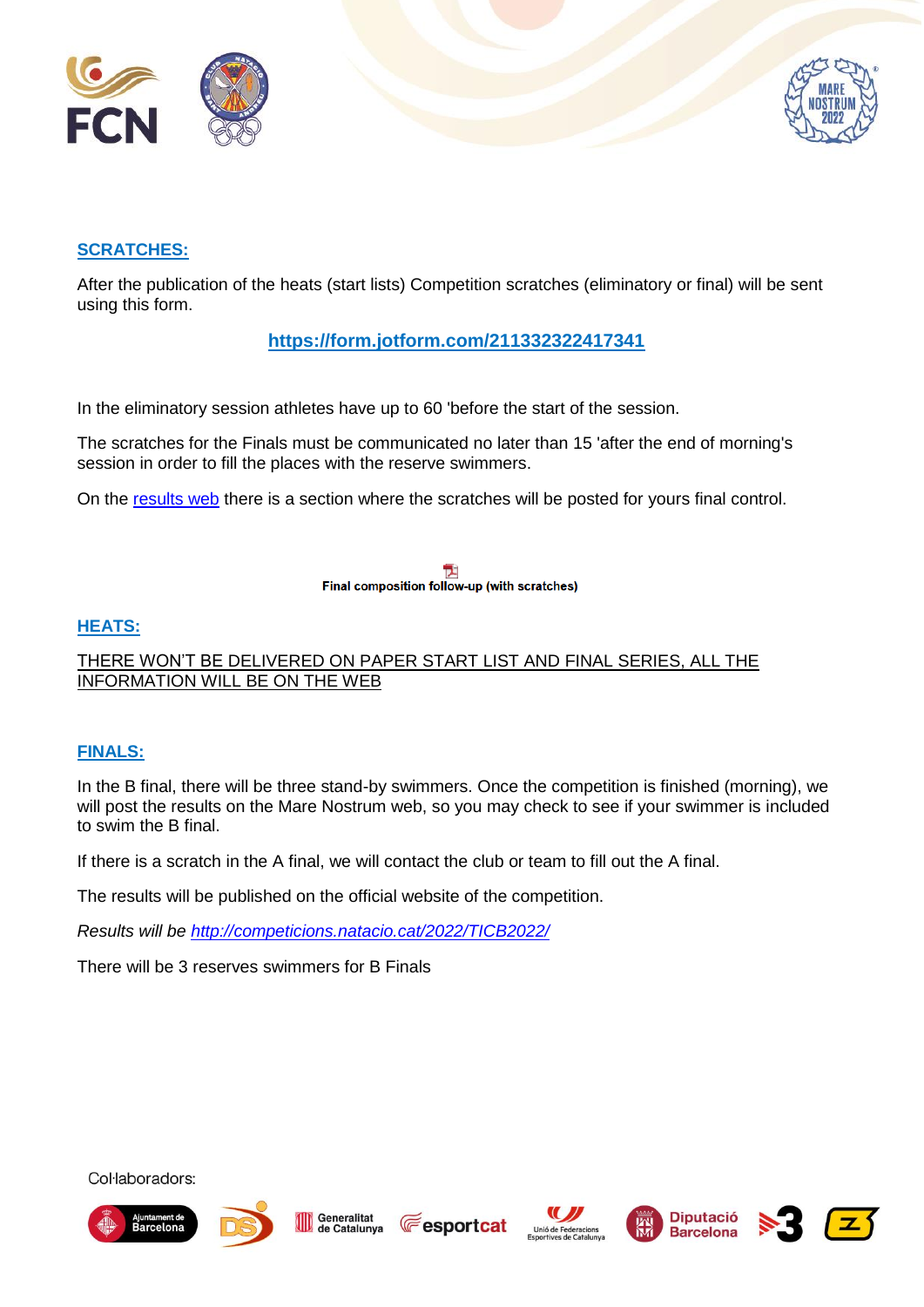



#### **SCRATCHES:**

After the publication of the heats (start lists) Competition scratches (eliminatory or final) will be sent using this form.

## **<https://form.jotform.com/211332322417341>**

In the eliminatory session athletes have up to 60 'before the start of the session.

The scratches for the Finals must be communicated no later than 15 'after the end of morning's session in order to fill the places with the reserve swimmers.

On the [results web](http://competicions.natacio.cat/2022/TICB2022/) there is a section where the scratches will be posted for yours final control.

Final composition follow-up (with scratches)

#### **HEATS:**

THERE WON'T BE DELIVERED ON PAPER START LIST AND FINAL SERIES, ALL THE INFORMATION WILL BE ON THE WEB

#### **FINALS:**

In the B final, there will be three stand-by swimmers. Once the competition is finished (morning), we will post the results on the Mare Nostrum web, so you may check to see if your swimmer is included to swim the B final.

If there is a scratch in the A final, we will contact the club or team to fill out the A final.

The results will be published on the official website of the competition.

*Results will be<http://competicions.natacio.cat/2022/TICB2022/>*

There will be 3 reserves swimmers for B Finals















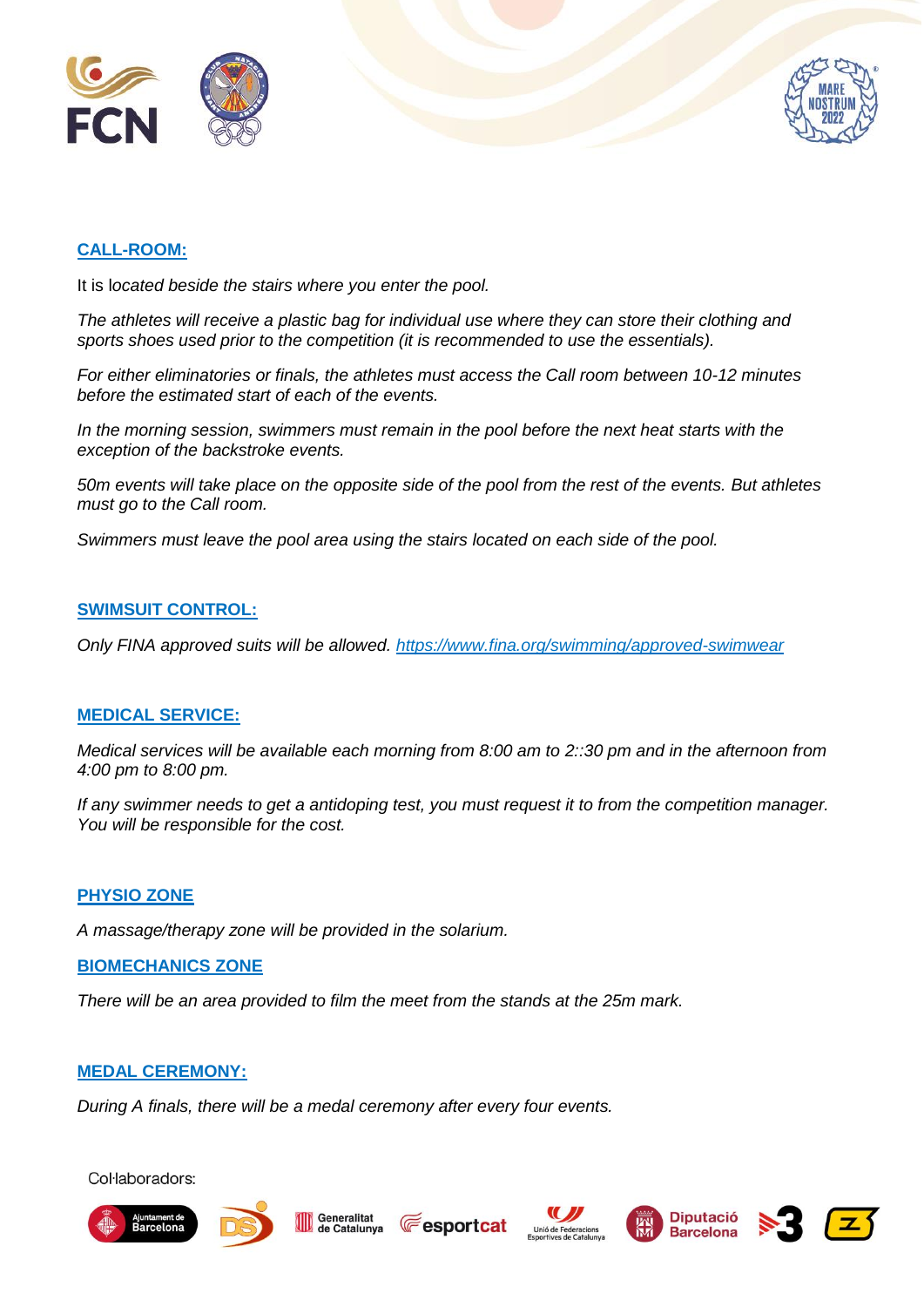



#### **CALL-ROOM:**

It is l*ocated beside the stairs where you enter the pool.*

*The athletes will receive a plastic bag for individual use where they can store their clothing and sports shoes used prior to the competition (it is recommended to use the essentials).*

*For either eliminatories or finals, the athletes must access the Call room between 10-12 minutes before the estimated start of each of the events.*

*In the morning session, swimmers must remain in the pool before the next heat starts with the exception of the backstroke events.*

*50m events will take place on the opposite side of the pool from the rest of the events. But athletes must go to the Call room.*

*Swimmers must leave the pool area using the stairs located on each side of the pool.*

#### **SWIMSUIT CONTROL:**

*Only FINA approved suits will be allowed.<https://www.fina.org/swimming/approved-swimwear>*

#### **MEDICAL SERVICE:**

*Medical services will be available each morning from 8:00 am to 2::30 pm and in the afternoon from 4:00 pm to 8:00 pm.*

*If any swimmer needs to get a antidoping test, you must request it to from the competition manager. You will be responsible for the cost.*

#### **PHYSIO ZONE**

*A massage/therapy zone will be provided in the solarium.*

#### **BIOMECHANICS ZONE**

*There will be an area provided to film the meet from the stands at the 25m mark.*

#### **MEDAL CEREMONY:**

*During A finals, there will be a medal ceremony after every four events.*













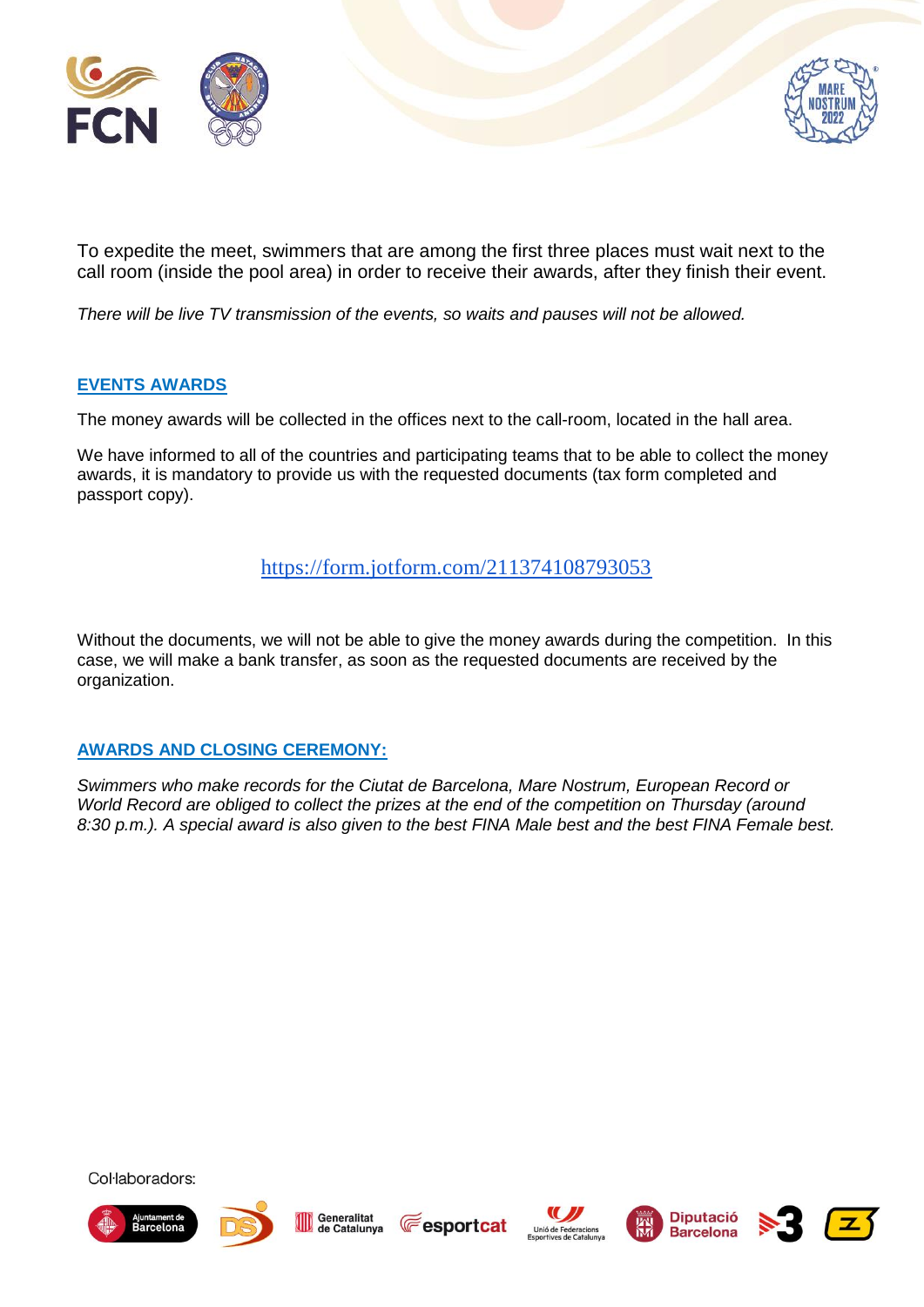



To expedite the meet, swimmers that are among the first three places must wait next to the call room (inside the pool area) in order to receive their awards, after they finish their event.

*There will be live TV transmission of the events, so waits and pauses will not be allowed.*

#### **EVENTS AWARDS**

The money awards will be collected in the offices next to the call-room, located in the hall area.

We have informed to all of the countries and participating teams that to be able to collect the money awards, it is mandatory to provide us with the requested documents (tax form completed and passport copy).

## <https://form.jotform.com/211374108793053>

Without the documents, we will not be able to give the money awards during the competition. In this case, we will make a bank transfer, as soon as the requested documents are received by the organization.

#### **AWARDS AND CLOSING CEREMONY:**

*Swimmers who make records for the Ciutat de Barcelona, Mare Nostrum, European Record or World Record are obliged to collect the prizes at the end of the competition on Thursday (around 8:30 p.m.). A special award is also given to the best FINA Male best and the best FINA Female best.*